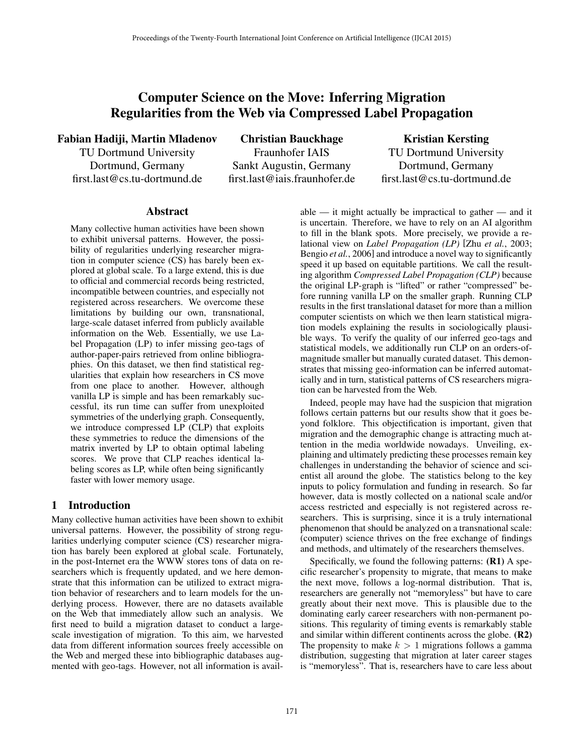# Computer Science on the Move: Inferring Migration Regularities from the Web via Compressed Label Propagation

Fabian Hadiji, Martin Mladenov

TU Dortmund University Dortmund, Germany first.last@cs.tu-dortmund.de

Christian Bauckhage Fraunhofer IAIS Sankt Augustin, Germany first.last@iais.fraunhofer.de

Kristian Kersting TU Dortmund University Dortmund, Germany first.last@cs.tu-dortmund.de

#### Abstract

Many collective human activities have been shown to exhibit universal patterns. However, the possibility of regularities underlying researcher migration in computer science (CS) has barely been explored at global scale. To a large extend, this is due to official and commercial records being restricted, incompatible between countries, and especially not registered across researchers. We overcome these limitations by building our own, transnational, large-scale dataset inferred from publicly available information on the Web. Essentially, we use Label Propagation (LP) to infer missing geo-tags of author-paper-pairs retrieved from online bibliographies. On this dataset, we then find statistical regularities that explain how researchers in CS move from one place to another. However, although vanilla LP is simple and has been remarkably successful, its run time can suffer from unexploited symmetries of the underlying graph. Consequently, we introduce compressed LP (CLP) that exploits these symmetries to reduce the dimensions of the matrix inverted by LP to obtain optimal labeling scores. We prove that CLP reaches identical labeling scores as LP, while often being significantly faster with lower memory usage.

#### 1 Introduction

Many collective human activities have been shown to exhibit universal patterns. However, the possibility of strong regularities underlying computer science (CS) researcher migration has barely been explored at global scale. Fortunately, in the post-Internet era the WWW stores tons of data on researchers which is frequently updated, and we here demonstrate that this information can be utilized to extract migration behavior of researchers and to learn models for the underlying process. However, there are no datasets available on the Web that immediately allow such an analysis. We first need to build a migration dataset to conduct a largescale investigation of migration. To this aim, we harvested data from different information sources freely accessible on the Web and merged these into bibliographic databases augmented with geo-tags. However, not all information is available — it might actually be impractical to gather — and it is uncertain. Therefore, we have to rely on an AI algorithm to fill in the blank spots. More precisely, we provide a relational view on *Label Propagation (LP)* [Zhu *et al.*, 2003; Bengio *et al.*, 2006] and introduce a novel way to significantly speed it up based on equitable partitions. We call the resulting algorithm *Compressed Label Propagation (CLP)* because the original LP-graph is "lifted" or rather "compressed" before running vanilla LP on the smaller graph. Running CLP results in the first translational dataset for more than a million computer scientists on which we then learn statistical migration models explaining the results in sociologically plausible ways. To verify the quality of our inferred geo-tags and statistical models, we additionally run CLP on an orders-ofmagnitude smaller but manually curated dataset. This demonstrates that missing geo-information can be inferred automatically and in turn, statistical patterns of CS researchers migration can be harvested from the Web.

Indeed, people may have had the suspicion that migration follows certain patterns but our results show that it goes beyond folklore. This objectification is important, given that migration and the demographic change is attracting much attention in the media worldwide nowadays. Unveiling, explaining and ultimately predicting these processes remain key challenges in understanding the behavior of science and scientist all around the globe. The statistics belong to the key inputs to policy formulation and funding in research. So far however, data is mostly collected on a national scale and/or access restricted and especially is not registered across researchers. This is surprising, since it is a truly international phenomenon that should be analyzed on a transnational scale: (computer) science thrives on the free exchange of findings and methods, and ultimately of the researchers themselves.

Specifically, we found the following patterns: (R1) A specific researcher's propensity to migrate, that means to make the next move, follows a log-normal distribution. That is, researchers are generally not "memoryless" but have to care greatly about their next move. This is plausible due to the dominating early career researchers with non-permanent positions. This regularity of timing events is remarkably stable and similar within different continents across the globe. (R2) The propensity to make  $k > 1$  migrations follows a gamma distribution, suggesting that migration at later career stages is "memoryless". That is, researchers have to care less about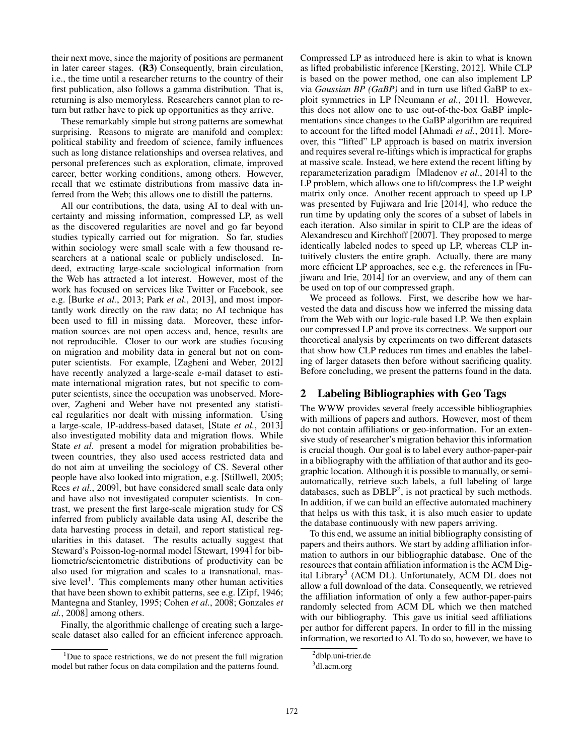their next move, since the majority of positions are permanent in later career stages. (R3) Consequently, brain circulation, i.e., the time until a researcher returns to the country of their first publication, also follows a gamma distribution. That is, returning is also memoryless. Researchers cannot plan to return but rather have to pick up opportunities as they arrive.

These remarkably simple but strong patterns are somewhat surprising. Reasons to migrate are manifold and complex: political stability and freedom of science, family influences such as long distance relationships and oversea relatives, and personal preferences such as exploration, climate, improved career, better working conditions, among others. However, recall that we estimate distributions from massive data inferred from the Web; this allows one to distill the patterns.

All our contributions, the data, using AI to deal with uncertainty and missing information, compressed LP, as well as the discovered regularities are novel and go far beyond studies typically carried out for migration. So far, studies within sociology were small scale with a few thousand researchers at a national scale or publicly undisclosed. Indeed, extracting large-scale sociological information from the Web has attracted a lot interest. However, most of the work has focused on services like Twitter or Facebook, see e.g. [Burke *et al.*, 2013; Park *et al.*, 2013], and most importantly work directly on the raw data; no AI technique has been used to fill in missing data. Moreover, these information sources are not open access and, hence, results are not reproducible. Closer to our work are studies focusing on migration and mobility data in general but not on computer scientists. For example, [Zagheni and Weber, 2012] have recently analyzed a large-scale e-mail dataset to estimate international migration rates, but not specific to computer scientists, since the occupation was unobserved. Moreover, Zagheni and Weber have not presented any statistical regularities nor dealt with missing information. Using a large-scale, IP-address-based dataset, [State *et al.*, 2013] also investigated mobility data and migration flows. While State *et al*. present a model for migration probabilities between countries, they also used access restricted data and do not aim at unveiling the sociology of CS. Several other people have also looked into migration, e.g. [Stillwell, 2005; Rees *et al.*, 2009], but have considered small scale data only and have also not investigated computer scientists. In contrast, we present the first large-scale migration study for CS inferred from publicly available data using AI, describe the data harvesting process in detail, and report statistical regularities in this dataset. The results actually suggest that Steward's Poisson-log-normal model [Stewart, 1994] for bibliometric/scientometric distributions of productivity can be also used for migration and scales to a transnational, massive level<sup>1</sup>. This complements many other human activities that have been shown to exhibit patterns, see e.g. [Zipf, 1946; Mantegna and Stanley, 1995; Cohen *et al.*, 2008; Gonzales *et al.*, 2008] among others.

Finally, the algorithmic challenge of creating such a largescale dataset also called for an efficient inference approach. Compressed LP as introduced here is akin to what is known as lifted probabilistic inference [Kersting, 2012]. While CLP is based on the power method, one can also implement LP via *Gaussian BP (GaBP)* and in turn use lifted GaBP to exploit symmetries in LP [Neumann *et al.*, 2011]. However, this does not allow one to use out-of-the-box GaBP implementations since changes to the GaBP algorithm are required to account for the lifted model [Ahmadi *et al.*, 2011]. Moreover, this "lifted" LP approach is based on matrix inversion and requires several re-liftings which is impractical for graphs at massive scale. Instead, we here extend the recent lifting by reparameterization paradigm [Mladenov *et al.*, 2014] to the LP problem, which allows one to lift/compress the LP weight matrix only once. Another recent approach to speed up LP was presented by Fujiwara and Irie [2014], who reduce the run time by updating only the scores of a subset of labels in each iteration. Also similar in spirit to CLP are the ideas of Alexandrescu and Kirchhoff [2007]. They proposed to merge identically labeled nodes to speed up LP, whereas CLP intuitively clusters the entire graph. Actually, there are many more efficient LP approaches, see e.g. the references in [Fujiwara and Irie, 2014] for an overview, and any of them can be used on top of our compressed graph.

We proceed as follows. First, we describe how we harvested the data and discuss how we inferred the missing data from the Web with our logic-rule based LP. We then explain our compressed LP and prove its correctness. We support our theoretical analysis by experiments on two different datasets that show how CLP reduces run times and enables the labeling of larger datasets then before without sacrificing quality. Before concluding, we present the patterns found in the data.

### 2 Labeling Bibliographies with Geo Tags

The WWW provides several freely accessible bibliographies with millions of papers and authors. However, most of them do not contain affiliations or geo-information. For an extensive study of researcher's migration behavior this information is crucial though. Our goal is to label every author-paper-pair in a bibliography with the affiliation of that author and its geographic location. Although it is possible to manually, or semiautomatically, retrieve such labels, a full labeling of large databases, such as  $DBLP<sup>2</sup>$ , is not practical by such methods. In addition, if we can build an effective automated machinery that helps us with this task, it is also much easier to update the database continuously with new papers arriving.

To this end, we assume an initial bibliography consisting of papers and theirs authors. We start by adding affiliation information to authors in our bibliographic database. One of the resources that contain affiliation information is the ACM Digital Library<sup>3</sup> (ACM DL). Unfortunately, ACM DL does not allow a full download of the data. Consequently, we retrieved the affiliation information of only a few author-paper-pairs randomly selected from ACM DL which we then matched with our bibliography. This gave us initial seed affiliations per author for different papers. In order to fill in the missing information, we resorted to AI. To do so, however, we have to

 $1$ Due to space restrictions, we do not present the full migration model but rather focus on data compilation and the patterns found.

<sup>&</sup>lt;sup>2</sup>dblp.uni-trier.de

<sup>&</sup>lt;sup>3</sup>dl.acm.org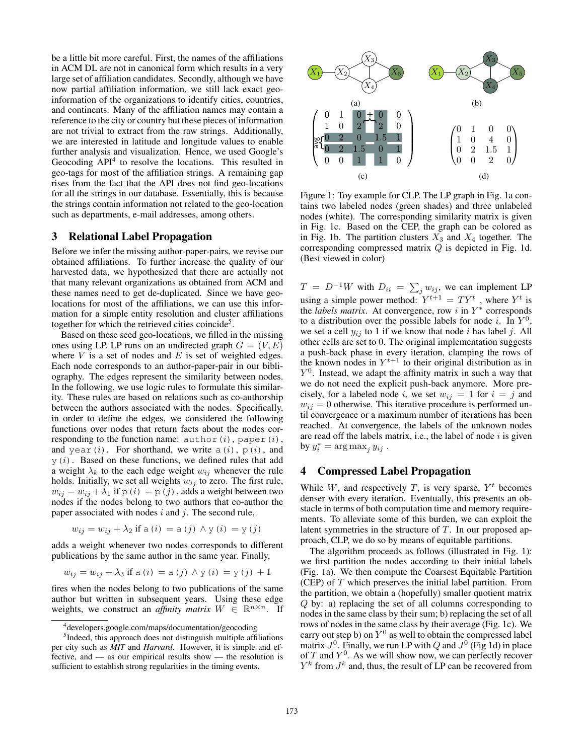be a little bit more careful. First, the names of the affiliations in ACM DL are not in canonical form which results in a very large set of affiliation candidates. Secondly, although we have now partial affiliation information, we still lack exact geoinformation of the organizations to identify cities, countries, and continents. Many of the affiliation names may contain a reference to the city or country but these pieces of information are not trivial to extract from the raw strings. Additionally, we are interested in latitude and longitude values to enable further analysis and visualization. Hence, we used Google's Geocoding API<sup>4</sup> to resolve the locations. This resulted in geo-tags for most of the affiliation strings. A remaining gap rises from the fact that the API does not find geo-locations for all the strings in our database. Essentially, this is because the strings contain information not related to the geo-location such as departments, e-mail addresses, among others.

### 3 Relational Label Propagation

Before we infer the missing author-paper-pairs, we revise our obtained affiliations. To further increase the quality of our harvested data, we hypothesized that there are actually not that many relevant organizations as obtained from ACM and these names need to get de-duplicated. Since we have geolocations for most of the affiliations, we can use this information for a simple entity resolution and cluster affiliations together for which the retrieved cities coincide<sup>5</sup>.

Based on these seed geo-locations, we filled in the missing ones using LP. LP runs on an undirected graph  $G = (V, E)$ where  $V$  is a set of nodes and  $E$  is set of weighted edges. Each node corresponds to an author-paper-pair in our bibliography. The edges represent the similarity between nodes. In the following, we use logic rules to formulate this similarity. These rules are based on relations such as co-authorship between the authors associated with the nodes. Specifically, in order to define the edges, we considered the following functions over nodes that return facts about the nodes corresponding to the function name:  $\text{author}(i)$ , paper $(i)$ , and year(i). For shorthand, we write  $a(i)$ ,  $p(i)$ , and  $y(i)$ . Based on these functions, we defined rules that add a weight  $\lambda_k$  to the each edge weight  $w_{ij}$  whenever the rule holds. Initially, we set all weights  $w_{ij}$  to zero. The first rule,  $w_{ij} = w_{ij} + \lambda_1$  if  $p(i) = p(j)$ , adds a weight between two nodes if the nodes belong to two authors that co-author the paper associated with nodes  $i$  and  $j$ . The second rule,

$$
w_{ij} = w_{ij} + \lambda_2 \text{ if a } (i) = a (j) \wedge y (i) = y (j)
$$

adds a weight whenever two nodes corresponds to different publications by the same author in the same year. Finally,

$$
w_{ij} = w_{ij} + \lambda_3
$$
 if a (i) = a (j)  $\wedge$  y (i) = y (j) + 1

fires when the nodes belong to two publications of the same author but written in subsequent years. Using these edge weights, we construct an *affinity matrix*  $W \in \mathbb{R}^{n \times n}$ . If



Figure 1: Toy example for CLP. The LP graph in Fig. 1a contains two labeled nodes (green shades) and three unlabeled nodes (white). The corresponding similarity matrix is given in Fig. 1c. Based on the CEP, the graph can be colored as in Fig. 1b. The partition clusters  $X_3$  and  $X_4$  together. The corresponding compressed matrix Q is depicted in Fig. 1d. (Best viewed in color)

 $T = D^{-1}W$  with  $D_{ii} = \sum_j w_{ij}$ , we can implement LP using a simple power method:  $Y^{t+1} = TY^t$ , where  $Y^t$  is the *labels matrix*. At convergence, row  $i$  in  $Y^*$  corresponds to a distribution over the possible labels for node *i*. In  $Y^0$ , we set a cell  $y_{ij}$  to 1 if we know that node i has label j. All other cells are set to 0. The original implementation suggests a push-back phase in every iteration, clamping the rows of the known nodes in  $Y^{t+1}$  to their original distribution as in  $Y<sup>0</sup>$ . Instead, we adapt the affinity matrix in such a way that we do not need the explicit push-back anymore. More precisely, for a labeled node i, we set  $w_{ij} = 1$  for  $i = j$  and  $w_{ij} = 0$  otherwise. This iterative procedure is performed until convergence or a maximum number of iterations has been reached. At convergence, the labels of the unknown nodes are read off the labels matrix, i.e., the label of node  $i$  is given by  $y_i^* = \arg \max_j y_{ij}$ .

### 4 Compressed Label Propagation

While  $W$ , and respectively  $T$ , is very sparse,  $Y<sup>t</sup>$  becomes denser with every iteration. Eventually, this presents an obstacle in terms of both computation time and memory requirements. To alleviate some of this burden, we can exploit the latent symmetries in the structure of T. In our proposed approach, CLP, we do so by means of equitable partitions.

The algorithm proceeds as follows (illustrated in Fig. 1): we first partition the nodes according to their initial labels (Fig. 1a). We then compute the Coarsest Equitable Partition (CEP) of  $T$  which preserves the initial label partition. From the partition, we obtain a (hopefully) smaller quotient matrix Q by: a) replacing the set of all columns corresponding to nodes in the same class by their sum; b) replacing the set of all rows of nodes in the same class by their average (Fig. 1c). We carry out step b) on  $Y^0$  as well to obtain the compressed label matrix  $J^0$ . Finally, we run LP with Q and  $J^0$  (Fig 1d) in place of  $T$  and  $Y^0$ . As we will show now, we can perfectly recover  $Y^k$  from  $J^k$  and, thus, the result of LP can be recovered from

<sup>4</sup> developers.google.com/maps/documentation/geocoding

<sup>&</sup>lt;sup>5</sup>Indeed, this approach does not distinguish multiple affiliations per city such as *MIT* and *Harvard*. However, it is simple and effective, and — as our empirical results show — the resolution is sufficient to establish strong regularities in the timing events.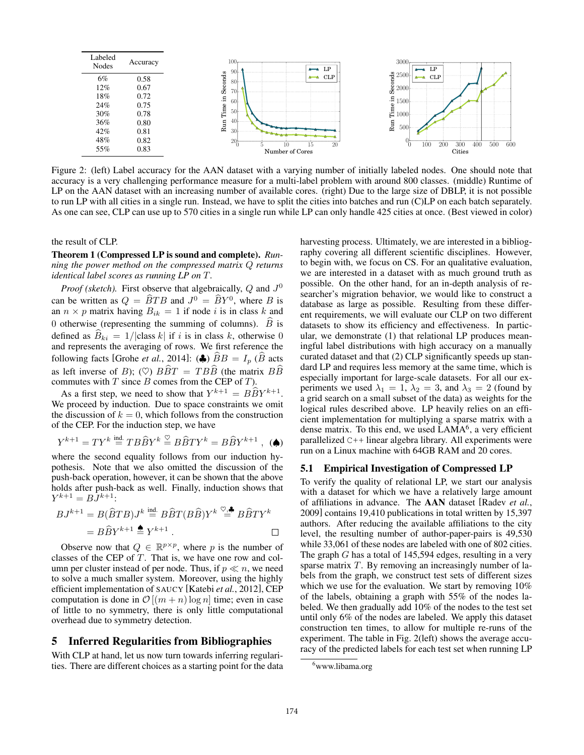

Figure 2: (left) Label accuracy for the AAN dataset with a varying number of initially labeled nodes. One should note that accuracy is a very challenging performance measure for a multi-label problem with around 800 classes. (middle) Runtime of LP on the AAN dataset with an increasing number of available cores. (right) Due to the large size of DBLP, it is not possible to run LP with all cities in a single run. Instead, we have to split the cities into batches and run (C)LP on each batch separately. As one can see, CLP can use up to 570 cities in a single run while LP can only handle 425 cities at once. (Best viewed in color)

the result of CLP.

Theorem 1 (Compressed LP is sound and complete). *Running the power method on the compressed matrix* Q *returns identical label scores as running LP on* T*.*

*Proof (sketch)*. First observe that algebraically,  $Q$  and  $J^0$ can be written as  $Q = \widehat{B}TB$  and  $J^0 = \widehat{B}Y^0$ , where B is an  $n \times p$  matrix having  $B_{ik} = 1$  if node i is in class k and 0 otherwise (representing the summing of columns).  $\hat{B}$  is defined as  $\hat{B}_{ki} = 1/|\text{class } k|$  if i is in class k, otherwise 0 and represents the averaging of rows. We first reference the following facts [Grohe *et al.*, 2014]: ( $\clubsuit$ )  $\widehat{B}B = I_p$  ( $\widehat{B}$  acts as left inverse of B); ( $\heartsuit$ )  $B\hat{B}T = TB\hat{B}$  (the matrix  $B\hat{B}$ commutes with  $T$  since  $B$  comes from the CEP of  $T$ ).

As a first step, we need to show that  $Y^{k+1} = B\widehat{B}Y^{k+1}$ . We proceed by induction. Due to space constraints we omit the discussion of  $k = 0$ , which follows from the construction of the CEP. For the induction step, we have

$$
Y^{k+1} = TY^k \stackrel{\text{ind.}}{=} T B \widehat{B} Y^k \stackrel{\heartsuit}{=} B \widehat{B} T Y^k = B \widehat{B} Y^{k+1} , \; \textbf{(A)}
$$

where the second equality follows from our induction hypothesis. Note that we also omitted the discussion of the push-back operation, however, it can be shown that the above holds after push-back as well. Finally, induction shows that  $Y^{k+1} = B\overline{J}^{k+1}$ 

$$
BJ^{k+1} = B(\widehat{B}TB)J^k \stackrel{\text{ind.}}{=} B\widehat{B}T(B\widehat{B})Y^k \stackrel{\heartsuit,\clubsuit}{=} B\widehat{B}TY^k
$$

$$
= B\widehat{B}Y^{k+1} \stackrel{\spadesuit}{=} Y^{k+1} .
$$

Observe now that  $Q \in \mathbb{R}^{p \times p}$ , where p is the number of classes of the CEP of  $T$ . That is, we have one row and column per cluster instead of per node. Thus, if  $p \ll n$ , we need to solve a much smaller system. Moreover, using the highly efficient implementation of SAUCY [Katebi *et al.*, 2012], CEP computation is done in  $\mathcal{O}[(m+n)\log n]$  time; even in case of little to no symmetry, there is only little computational overhead due to symmetry detection.

## 5 Inferred Regularities from Bibliographies

With CLP at hand, let us now turn towards inferring regularities. There are different choices as a starting point for the data harvesting process. Ultimately, we are interested in a bibliography covering all different scientific disciplines. However, to begin with, we focus on CS. For an qualitative evaluation, we are interested in a dataset with as much ground truth as possible. On the other hand, for an in-depth analysis of researcher's migration behavior, we would like to construct a database as large as possible. Resulting from these different requirements, we will evaluate our CLP on two different datasets to show its efficiency and effectiveness. In particular, we demonstrate (1) that relational LP produces meaningful label distributions with high accuracy on a manually curated dataset and that (2) CLP significantly speeds up standard LP and requires less memory at the same time, which is especially important for large-scale datasets. For all our experiments we used  $\lambda_1 = 1$ ,  $\lambda_2 = 3$ , and  $\lambda_3 = 2$  (found by a grid search on a small subset of the data) as weights for the logical rules described above. LP heavily relies on an efficient implementation for multiplying a sparse matrix with a dense matrix. To this end, we used LAMA<sup>6</sup>, a very efficient parallelized C++ linear algebra library. All experiments were run on a Linux machine with 64GB RAM and 20 cores.

#### 5.1 Empirical Investigation of Compressed LP

To verify the quality of relational LP, we start our analysis with a dataset for which we have a relatively large amount of affiliations in advance. The AAN dataset [Radev *et al.*, 2009] contains 19,410 publications in total written by 15,397 authors. After reducing the available affiliations to the city level, the resulting number of author-paper-pairs is 49,530 while 33,061 of these nodes are labeled with one of 802 cities. The graph  $G$  has a total of 145,594 edges, resulting in a very sparse matrix  $T$ . By removing an increasingly number of labels from the graph, we construct test sets of different sizes which we use for the evaluation. We start by removing 10% of the labels, obtaining a graph with 55% of the nodes labeled. We then gradually add 10% of the nodes to the test set until only 6% of the nodes are labeled. We apply this dataset construction ten times, to allow for multiple re-runs of the experiment. The table in Fig. 2(left) shows the average accuracy of the predicted labels for each test set when running LP

<sup>6</sup>www.libama.org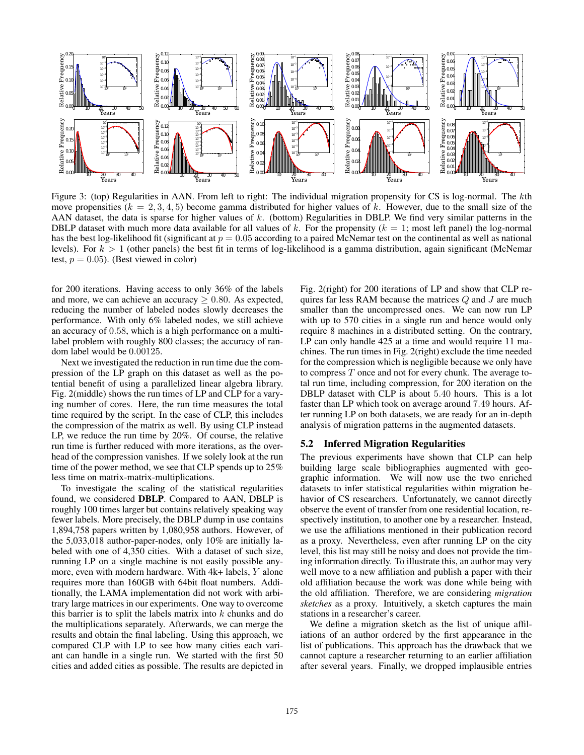

Figure 3: (top) Regularities in AAN. From left to right: The individual migration propensity for CS is log-normal. The kth move propensities ( $k = 2, 3, 4, 5$ ) become gamma distributed for higher values of k. However, due to the small size of the AAN dataset, the data is sparse for higher values of k. (bottom) Regularities in DBLP. We find very similar patterns in the DBLP dataset with much more data available for all values of k. For the propensity ( $k = 1$ ; most left panel) the log-normal has the best log-likelihood fit (significant at  $p = 0.05$  according to a paired McNemar test on the continental as well as national levels). For  $k > 1$  (other panels) the best fit in terms of log-likelihood is a gamma distribution, again significant (McNemar test,  $p = 0.05$ ). (Best viewed in color)

for 200 iterations. Having access to only 36% of the labels and more, we can achieve an accuracy  $\geq 0.80$ . As expected, reducing the number of labeled nodes slowly decreases the performance. With only 6% labeled nodes, we still achieve an accuracy of 0.58, which is a high performance on a multilabel problem with roughly 800 classes; the accuracy of random label would be 0.00125.

Next we investigated the reduction in run time due the compression of the LP graph on this dataset as well as the potential benefit of using a parallelized linear algebra library. Fig. 2(middle) shows the run times of LP and CLP for a varying number of cores. Here, the run time measures the total time required by the script. In the case of CLP, this includes the compression of the matrix as well. By using CLP instead LP, we reduce the run time by 20%. Of course, the relative run time is further reduced with more iterations, as the overhead of the compression vanishes. If we solely look at the run time of the power method, we see that CLP spends up to 25% less time on matrix-matrix-multiplications.

To investigate the scaling of the statistical regularities found, we considered DBLP. Compared to AAN, DBLP is roughly 100 times larger but contains relatively speaking way fewer labels. More precisely, the DBLP dump in use contains 1,894,758 papers written by 1,080,958 authors. However, of the 5,033,018 author-paper-nodes, only 10% are initially labeled with one of 4,350 cities. With a dataset of such size, running LP on a single machine is not easily possible anymore, even with modern hardware. With 4k+ labels, Y alone requires more than 160GB with 64bit float numbers. Additionally, the LAMA implementation did not work with arbitrary large matrices in our experiments. One way to overcome this barrier is to split the labels matrix into  $k$  chunks and do the multiplications separately. Afterwards, we can merge the results and obtain the final labeling. Using this approach, we compared CLP with LP to see how many cities each variant can handle in a single run. We started with the first 50 cities and added cities as possible. The results are depicted in Fig. 2(right) for 200 iterations of LP and show that CLP requires far less RAM because the matrices  $Q$  and  $J$  are much smaller than the uncompressed ones. We can now run LP with up to 570 cities in a single run and hence would only require 8 machines in a distributed setting. On the contrary, LP can only handle 425 at a time and would require 11 machines. The run times in Fig. 2(right) exclude the time needed for the compression which is negligible because we only have to compress T once and not for every chunk. The average total run time, including compression, for 200 iteration on the DBLP dataset with CLP is about 5.40 hours. This is a lot faster than LP which took on average around 7.49 hours. After running LP on both datasets, we are ready for an in-depth analysis of migration patterns in the augmented datasets.

#### 5.2 Inferred Migration Regularities

The previous experiments have shown that CLP can help building large scale bibliographies augmented with geographic information. We will now use the two enriched datasets to infer statistical regularities within migration behavior of CS researchers. Unfortunately, we cannot directly observe the event of transfer from one residential location, respectively institution, to another one by a researcher. Instead, we use the affiliations mentioned in their publication record as a proxy. Nevertheless, even after running LP on the city level, this list may still be noisy and does not provide the timing information directly. To illustrate this, an author may very well move to a new affiliation and publish a paper with their old affiliation because the work was done while being with the old affiliation. Therefore, we are considering *migration sketches* as a proxy. Intuitively, a sketch captures the main stations in a researcher's career.

We define a migration sketch as the list of unique affiliations of an author ordered by the first appearance in the list of publications. This approach has the drawback that we cannot capture a researcher returning to an earlier affiliation after several years. Finally, we dropped implausible entries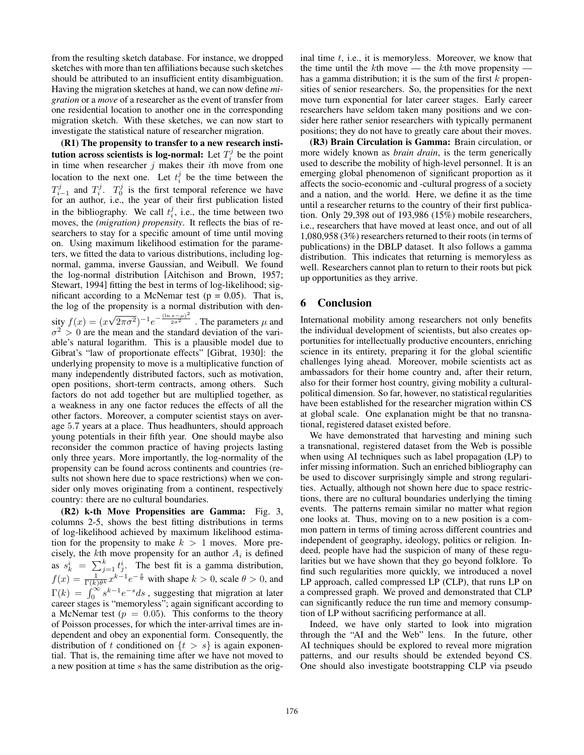from the resulting sketch database. For instance, we dropped sketches with more than ten affiliations because such sketches should be attributed to an insufficient entity disambiguation. Having the migration sketches at hand, we can now define *migration* or a *move* of a researcher as the event of transfer from one residential location to another one in the corresponding migration sketch. With these sketches, we can now start to investigate the statistical nature of researcher migration.

(R1) The propensity to transfer to a new research institution across scientists is log-normal: Let  $T_i^j$  be the point in time when researcher  $j$  makes their *i*th move from one location to the next one. Let  $t_i^j$  be the time between the  $T_{i-1}^j$  and  $T_i^j$ .  $T_0^j$  is the first temporal reference we have for an author, i.e., the year of their first publication listed in the bibliography. We call  $t_i^j$ , i.e., the time between two moves, the *(migration) propensity*. It reflects the bias of researchers to stay for a specific amount of time until moving on. Using maximum likelihood estimation for the parameters, we fitted the data to various distributions, including lognormal, gamma, inverse Gaussian, and Weibull. We found the log-normal distribution [Aitchison and Brown, 1957; Stewart, 1994] fitting the best in terms of log-likelihood; significant according to a McNemar test ( $p = 0.05$ ). That is, the log of the propensity is a normal distribution with density  $f(x) = (x)$ √  $\sqrt{2\pi\sigma^2}$ ) $^{-1}e^{-\frac{(\ln x-\mu)^2}{2\sigma^2}}$ . The parameters  $\mu$  and  $\sigma^2 > 0$  are the mean and the standard deviation of the variable's natural logarithm. This is a plausible model due to Gibrat's "law of proportionate effects" [Gibrat, 1930]: the underlying propensity to move is a multiplicative function of many independently distributed factors, such as motivation, open positions, short-term contracts, among others. Such factors do not add together but are multiplied together, as a weakness in any one factor reduces the effects of all the other factors. Moreover, a computer scientist stays on average 5.7 years at a place. Thus headhunters, should approach young potentials in their fifth year. One should maybe also reconsider the common practice of having projects lasting only three years. More importantly, the log-normality of the propensity can be found across continents and countries (results not shown here due to space restrictions) when we consider only moves originating from a continent, respectively country: there are no cultural boundaries.

(R2) k-th Move Propensities are Gamma: Fig. 3, columns 2-5, shows the best fitting distributions in terms of log-likelihood achieved by maximum likelihood estimation for the propensity to make  $k > 1$  moves. More precisely, the kth move propensity for an author  $A_i$  is defined as  $s_k^i = \sum_{j=1}^k t_j^i$ . The best fit is a gamma distribution,  $f(x) = \frac{1}{\Gamma(k)\theta^k} x^{k-1} e^{-\frac{x}{\theta}}$  with shape  $k > 0$ , scale  $\theta > 0$ , and  $\Gamma(k) = \int_0^\infty s^{k-1} e^{-s} ds$ , suggesting that migration at later career stages is "memoryless"; again significant according to a McNemar test ( $p = 0.05$ ). This conforms to the theory of Poisson processes, for which the inter-arrival times are independent and obey an exponential form. Consequently, the distribution of t conditioned on  $\{t > s\}$  is again exponential. That is, the remaining time after we have not moved to a new position at time s has the same distribution as the original time  $t$ , i.e., it is memoryless. Moreover, we know that the time until the  $k$ th move — the  $k$ th move propensity has a gamma distribution; it is the sum of the first  $k$  propensities of senior researchers. So, the propensities for the next move turn exponential for later career stages. Early career researchers have seldom taken many positions and we consider here rather senior researchers with typically permanent positions; they do not have to greatly care about their moves.

(R3) Brain Circulation is Gamma: Brain circulation, or more widely known as *brain drain*, is the term generically used to describe the mobility of high-level personnel. It is an emerging global phenomenon of significant proportion as it affects the socio-economic and -cultural progress of a society and a nation, and the world. Here, we define it as the time until a researcher returns to the country of their first publication. Only 29,398 out of 193,986 (15%) mobile researchers, i.e., researchers that have moved at least once, and out of all 1,080,958 (3%) researchers returned to their roots (in terms of publications) in the DBLP dataset. It also follows a gamma distribution. This indicates that returning is memoryless as well. Researchers cannot plan to return to their roots but pick up opportunities as they arrive.

### 6 Conclusion

International mobility among researchers not only benefits the individual development of scientists, but also creates opportunities for intellectually productive encounters, enriching science in its entirety, preparing it for the global scientific challenges lying ahead. Moreover, mobile scientists act as ambassadors for their home country and, after their return, also for their former host country, giving mobility a culturalpolitical dimension. So far, however, no statistical regularities have been established for the researcher migration within CS at global scale. One explanation might be that no transnational, registered dataset existed before.

We have demonstrated that harvesting and mining such a transnational, registered dataset from the Web is possible when using AI techniques such as label propagation (LP) to infer missing information. Such an enriched bibliography can be used to discover surprisingly simple and strong regularities. Actually, although not shown here due to space restrictions, there are no cultural boundaries underlying the timing events. The patterns remain similar no matter what region one looks at. Thus, moving on to a new position is a common pattern in terms of timing across different countries and independent of geography, ideology, politics or religion. Indeed, people have had the suspicion of many of these regularities but we have shown that they go beyond folklore. To find such regularities more quickly, we introduced a novel LP approach, called compressed LP (CLP), that runs LP on a compressed graph. We proved and demonstrated that CLP can significantly reduce the run time and memory consumption of LP without sacrificing performance at all.

Indeed, we have only started to look into migration through the "AI and the Web" lens. In the future, other AI techniques should be explored to reveal more migration patterns, and our results should be extended beyond CS. One should also investigate bootstrapping CLP via pseudo